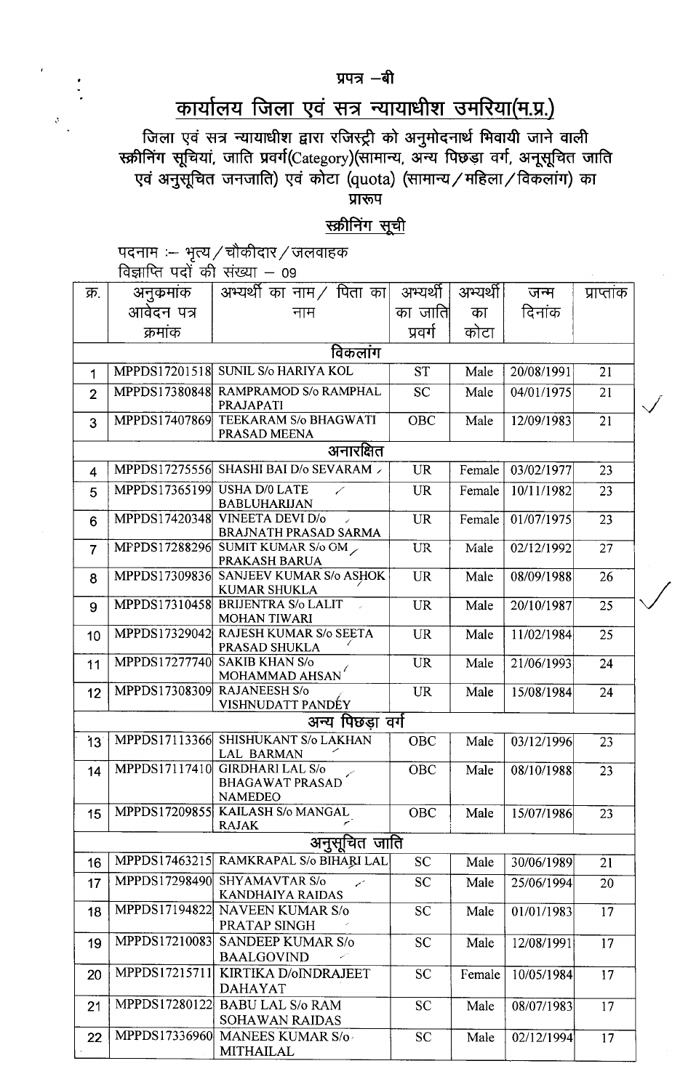# कार्यालय जिला एवं सत्र न्यायाधीश उमरिया(म.प्र.)

जिला एवं सत्र न्यायाधीश द्वारा रजिस्ट्री को अनुमोदनार्थ भिवायी जाने वाली<br>स्क्रीनिंग सूचियां, जाति प्रवर्ग(Category)(सामान्य, अन्य पिछड़ा वर्ग, अनूसूचित जाति एवं अनुसूचित जनजाति) एवं कोटा (quota) (सामान्य / महिला / विकलांग) का प्रारूप

स्क्रीनिंग सूची

पदनाम :-- भृत्य / चौकीदार / जलवाहक<br>विज्ञाप्ति पदों की संख्या – 09

 $\mathcal{S}$ 

|                 | ויר וצר וווארו | ◡◡                                                                              |            |          |            |                            |  |  |
|-----------------|----------------|---------------------------------------------------------------------------------|------------|----------|------------|----------------------------|--|--|
| क्र.            | अनुकमाक        | अभ्यर्थी का नाम / पिता का $\mid$                                                | अभ्यर्थी   | अभ्यर्थी | जन्म       | प्राप्ताक                  |  |  |
|                 | आवेदन पत्र     | नाम                                                                             | का जाति    | का       | दिनांक     |                            |  |  |
|                 | क्रमांक        |                                                                                 | प्रवर्ग    | कोटा     |            |                            |  |  |
|                 |                |                                                                                 |            |          |            |                            |  |  |
| विकलाग          |                |                                                                                 |            |          |            |                            |  |  |
| 1               |                | MPPDS17201518 SUNIL S/o HARIYA KOL                                              | <b>ST</b>  | Male     | 20/08/1991 | 21                         |  |  |
| $\overline{2}$  | MPPDS17380848  | RAMPRAMOD S/o RAMPHAL<br>PRAJAPATI                                              | <b>SC</b>  | Male     | 04/01/1975 | 21<br>$\ddot{\phantom{0}}$ |  |  |
| 3               | MPPDS17407869  | TEEKARAM S/o BHAGWATI<br>PRASAD MEENA                                           | <b>OBC</b> | Male     | 12/09/1983 | 21                         |  |  |
| अनारक्षित       |                |                                                                                 |            |          |            |                            |  |  |
| 4               | MPPDS17275556  | SHASHI BAI D/o SEVARAM >                                                        | <b>UR</b>  | Female   | 03/02/1977 | 23                         |  |  |
| 5               | MPPDS17365199  | <b>USHA D/0 LATE</b><br>✓<br><b>BABLUHARIJAN</b>                                | <b>UR</b>  | Female   | 10/11/1982 | 23                         |  |  |
| 6               | MPPDS17420348  | VINEETA DEVI D/o<br>$\mathcal{L}$<br><b>BRAJNATH PRASAD SARMA</b>               | <b>UR</b>  | Female   | 01/07/1975 | 23                         |  |  |
| $\overline{7}$  |                | MPPDS17288296 SUMIT KUMAR S/o OM<br>PRAKASH BARUA                               | <b>UR</b>  | Male     | 02/12/1992 | 27                         |  |  |
| 8               | MPPDS17309836  | <b>SANJEEV KUMAR S/o ASHOK</b><br><b>KUMAR SHUKLA</b>                           | <b>UR</b>  | Male     | 08/09/1988 | 26                         |  |  |
| 9               | MPPDS17310458  | <b>BRIJENTRA S/o LALIT</b><br><b>MOHAN TIWARI</b>                               | <b>UR</b>  | Male     | 20/10/1987 | 25                         |  |  |
| 10              | MPPDS17329042  | RAJESH KUMAR S/o SEETA<br>PRASAD SHUKLA                                         | <b>UR</b>  | Male     | 11/02/1984 | 25                         |  |  |
| 11              | MPPDS17277740  | <b>SAKIB KHAN S/o</b><br>MOHAMMAD AHSAN                                         | <b>UR</b>  | Male     | 21/06/1993 | 24                         |  |  |
| 12              | MPPDS17308309  | <b>RAJANEESH S/o</b><br>VISHNUDATT PANDÉY                                       | <b>UR</b>  | Male     | 15/08/1984 | 24                         |  |  |
|                 |                | अन्य पिछडा वर्ग                                                                 |            |          |            |                            |  |  |
| 13 <sup>°</sup> | MPPDS17113366  | SHISHUKANT S/o LAKHAN<br><b>LAL BARMAN</b>                                      | <b>OBC</b> | Male     | 03/12/1996 | 23                         |  |  |
| 14              |                | MPPDS17117410 GIRDHARI LAL S/o<br>↙<br><b>BHAGAWAT PRASAD</b><br><b>NAMEDEO</b> | OBC        | Male     | 08/10/1988 | 23                         |  |  |
| 15              |                | MPPDS17209855 KAILASH S/o MANGAL<br><b>RAJAK</b>                                | OBC        | Male     | 15/07/1986 | 23                         |  |  |
|                 |                | अनुसूचित जाति                                                                   |            |          |            |                            |  |  |
| 16              | MPPDS17463215  | RAMKRAPAL S/o BIHARI LAL                                                        | <b>SC</b>  | Male     | 30/06/1989 | 21                         |  |  |
| 17              | MPPDS17298490  | <b>SHYAMAVTAR S/o</b><br>KANDHAIYA RAIDAS                                       | <b>SC</b>  | Male     | 25/06/1994 | 20                         |  |  |
| 18              | MPPDS17194822  | <b>NAVEEN KUMAR S/o</b><br>PRATAP SINGH                                         | <b>SC</b>  | Male     | 01/01/1983 | 17                         |  |  |
| 19              | MPPDS17210083  | SANDEEP KUMAR S/o<br><b>BAALGOVIND</b>                                          | <b>SC</b>  | Male     | 12/08/1991 | 17                         |  |  |
| 20              | MPPDS17215711  | KIRTIKA D/oINDRAJEET<br><b>DAHAYAT</b>                                          | <b>SC</b>  | Female   | 10/05/1984 | 17                         |  |  |
| 21              |                | MPPDS17280122 BABU LAL S/o RAM<br><b>SOHAWAN RAIDAS</b>                         | <b>SC</b>  | Male     | 08/07/1983 | 17                         |  |  |
| 22              |                | MPPDS17336960 MANEES KUMAR S/o<br>MITHAILAL                                     | <b>SC</b>  | Male     | 02/12/1994 | 17                         |  |  |

#### प्रपत्र -बी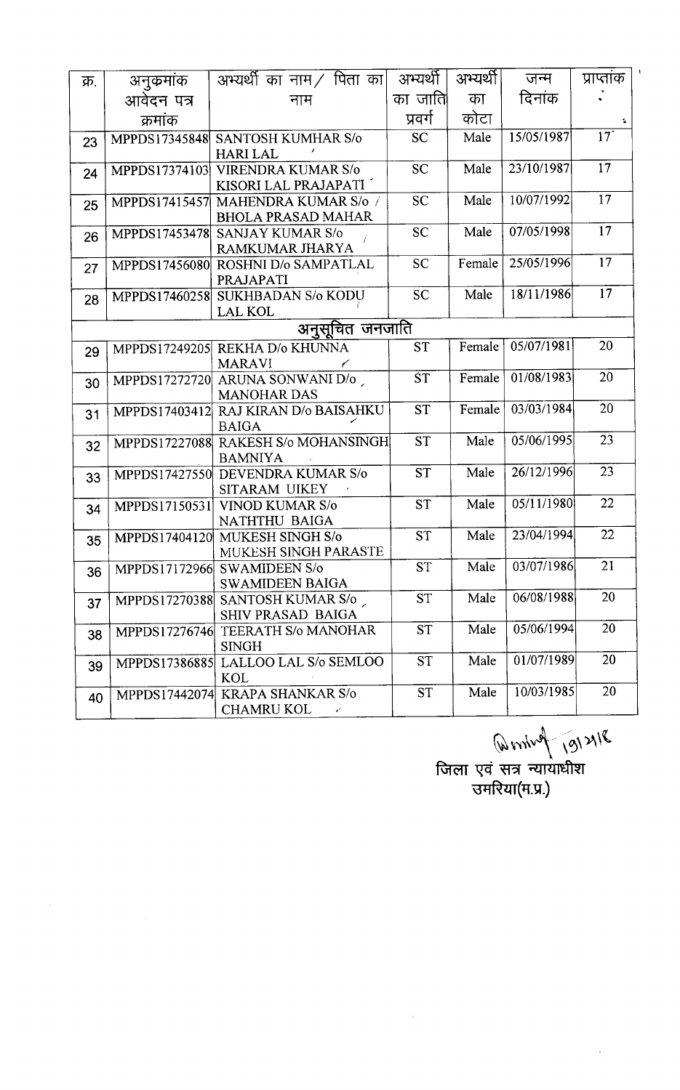| क्र. | अनुकमांक      | अभ्यर्थी का नाम / पिता का                                   | अभ्यर्थी  | अभ्यर्थी।           | जन्म       | प्राप्ताक       |
|------|---------------|-------------------------------------------------------------|-----------|---------------------|------------|-----------------|
|      | आवेदन पत्र    | नाम                                                         | का जाति   | का                  | दिनांक     |                 |
|      | क्रमांक       |                                                             | प्रवर्ग   | कोटा                |            |                 |
| 23   |               | MPPDS17345848 SANTOSH KUMHAR S/o                            | <b>SC</b> | Male                | 15/05/1987 | 17 <sup>°</sup> |
|      |               | <b>HARI LAL</b>                                             |           |                     |            |                 |
| 24   |               | MPPDS17374103 VIRENDRA KUMAR S/o                            | <b>SC</b> | Male                | 23/10/1987 | 17              |
|      |               | KISORI LAL PRAJAPATI                                        |           |                     |            | 17              |
| 25   |               | MPPDS17415457 MAHENDRA KUMAR S/o /                          | <b>SC</b> | Male                | 10/07/1992 |                 |
|      |               | <b>BHOLA PRASAD MAHAR</b><br>MPPDS17453478 SANJAY KUMAR S/o | <b>SC</b> | Male                | 07/05/1998 | 17              |
| 26   |               | RAMKUMAR JHARYA                                             |           |                     |            |                 |
| 27   |               | MPPDS17456080 ROSHNI D/o SAMPATLAL                          | <b>SC</b> | Female              | 25/05/1996 | 17              |
|      |               | PRAJAPATI                                                   |           |                     |            |                 |
| 28   | MPPDS17460258 | <b>SUKHBADAN S/o KODU</b>                                   | <b>SC</b> | Male                | 18/11/1986 | 17              |
|      |               | <b>LAL KOL</b>                                              |           |                     |            |                 |
|      |               | अनुसूचित जनजाति                                             |           |                     |            |                 |
| 29   |               | MPPDS17249205 REKHA D/o KHUNNA                              | <b>ST</b> | Female <sup>1</sup> | 05/07/1981 | 20              |
|      |               | <b>MARAVI</b>                                               |           |                     |            |                 |
| 30   |               | MPPDS17272720 ARUNA SONWANI D/o                             | <b>ST</b> | Female              | 01/08/1983 | 20              |
|      |               | <b>MANOHAR DAS</b><br>MPPDS17403412 RAJ KIRAN D/o BAISAHKU  | <b>ST</b> | Female              | 03/03/1984 | 20              |
| 31   |               | <b>BAIGA</b>                                                |           |                     |            |                 |
| 32   |               | MPPDS17227088 RAKESH S/o MOHANSINGH                         | <b>ST</b> | Male                | 05/06/1995 | 23              |
|      |               | <b>BAMNIYA</b>                                              |           |                     |            |                 |
| 33   | MPPDS17427550 | DEVENDRA KUMAR S/o                                          | <b>ST</b> | Male                | 26/12/1996 | 23              |
|      |               | SITARAM UIKEY                                               |           |                     |            |                 |
| 34   | MPPDS17150531 | <b>VINOD KUMAR S/o</b>                                      | <b>ST</b> | Male                | 05/11/1980 | 22              |
|      |               | NATHTHU BAIGA                                               |           |                     |            | 22              |
| 35   |               | MPPDS17404120 MUKESH SINGH S/o                              | <b>ST</b> | Male                | 23/04/1994 |                 |
|      |               | MUKESH SINGH PARASTE<br>MPPDS17172966 SWAMIDEEN S/o         | <b>ST</b> | Male                | 03/07/1986 | 21              |
| 36   |               | <b>SWAMIDEEN BAIGA</b>                                      |           |                     |            |                 |
| 37   | MPPDS17270388 | SANTOSH KUMAR S/o                                           | <b>ST</b> | Male                | 06/08/1988 | 20              |
|      |               | <b>SHIV PRASAD BAIGA</b>                                    |           |                     |            |                 |
| 38   |               | MPPDS17276746 TEERATH S/o MANOHAR                           | <b>ST</b> | Male                | 05/06/1994 | 20              |
|      |               | <b>SINGH</b>                                                |           |                     |            |                 |
| 39   | MPPDS17386885 | LALLOO LAL S/o SEMLOO                                       | <b>ST</b> | Male                | 01/07/1989 | 20              |
|      |               | KOL                                                         |           |                     |            | 20              |
| 40   | MPPDS17442074 | <b>KRAPA SHANKAR S/o</b>                                    | <b>ST</b> | Male                | 10/03/1985 |                 |
|      |               | <b>CHAMRU KOL</b>                                           |           |                     |            |                 |

 $(w\,nu\,v\,)^{-1}$  (2)  $21\nu$ 

जिला एवं सत्र न्यायाधीश उम<mark>रिया(म.प्र.</mark>)

 $\hat{\mathcal{A}}$